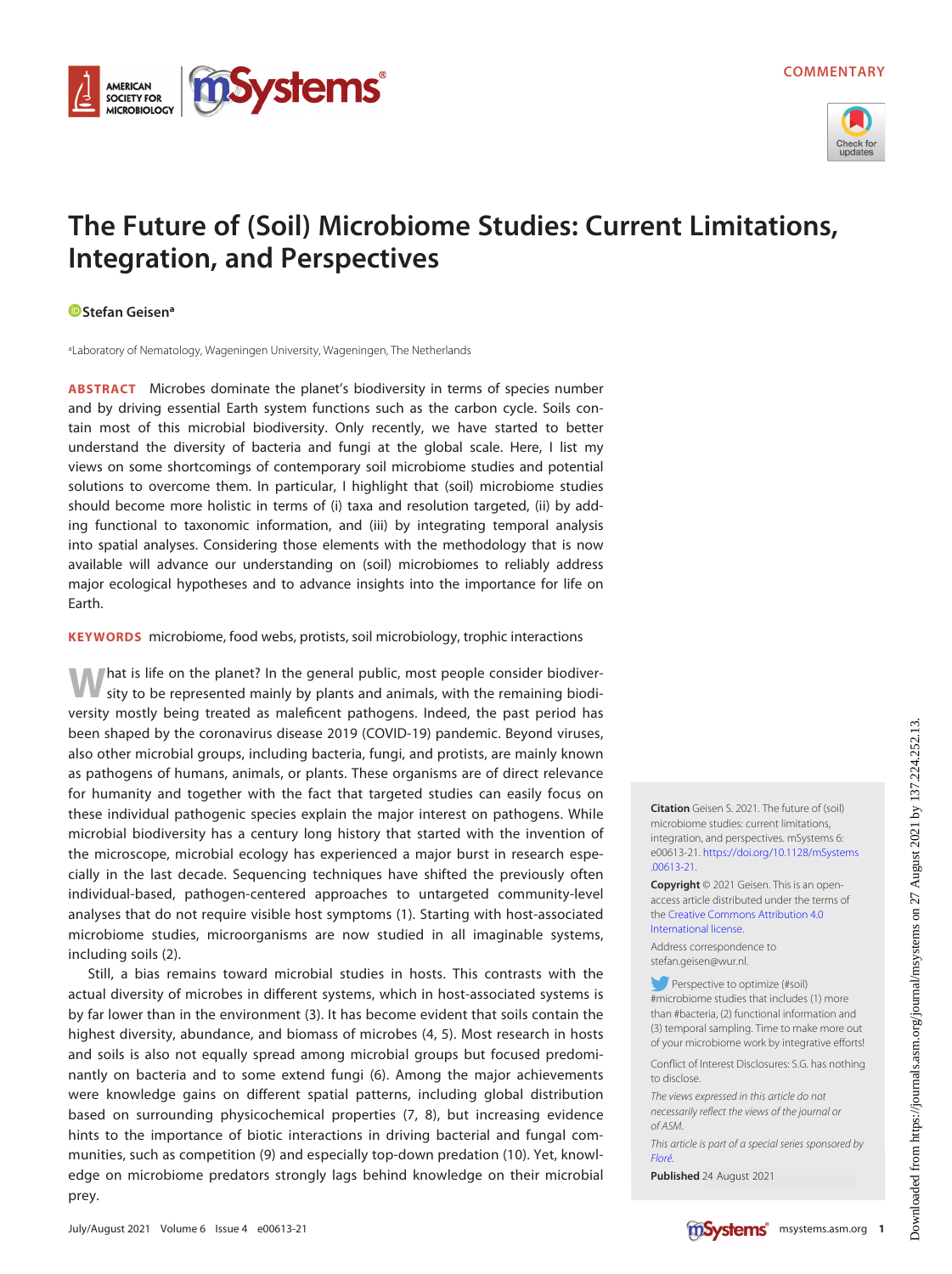

# The Future of (Soil) Microbiome Studies: Current Limitations, Integration, and Perspectives

### **D** [Stefan Geisen](https://orcid.org/0000-0003-0734-727X)<sup>a</sup>

AMERICAN **SOCIETY FOR MICROBIOLOGY** 

aLaboratory of Nematology, Wageningen University, Wageningen, The Netherlands

ABSTRACT Microbes dominate the planet's biodiversity in terms of species number and by driving essential Earth system functions such as the carbon cycle. Soils contain most of this microbial biodiversity. Only recently, we have started to better understand the diversity of bacteria and fungi at the global scale. Here, I list my views on some shortcomings of contemporary soil microbiome studies and potential solutions to overcome them. In particular, I highlight that (soil) microbiome studies should become more holistic in terms of (i) taxa and resolution targeted, (ii) by adding functional to taxonomic information, and (iii) by integrating temporal analysis into spatial analyses. Considering those elements with the methodology that is now available will advance our understanding on (soil) microbiomes to reliably address major ecological hypotheses and to advance insights into the importance for life on Earth.

**ystems** 

KEYWORDS microbiome, food webs, protists, soil microbiology, trophic interactions

What is life on the planet? In the general public, most people consider biodiver-sity to be represented mainly by plants and animals, with the remaining biodiversity mostly being treated as maleficent pathogens. Indeed, the past period has been shaped by the coronavirus disease 2019 (COVID-19) pandemic. Beyond viruses, also other microbial groups, including bacteria, fungi, and protists, are mainly known as pathogens of humans, animals, or plants. These organisms are of direct relevance for humanity and together with the fact that targeted studies can easily focus on these individual pathogenic species explain the major interest on pathogens. While microbial biodiversity has a century long history that started with the invention of the microscope, microbial ecology has experienced a major burst in research especially in the last decade. Sequencing techniques have shifted the previously often individual-based, pathogen-centered approaches to untargeted community-level analyses that do not require visible host symptoms [\(1\)](#page-3-0). Starting with host-associated microbiome studies, microorganisms are now studied in all imaginable systems, including soils [\(2\)](#page-3-1).

Still, a bias remains toward microbial studies in hosts. This contrasts with the actual diversity of microbes in different systems, which in host-associated systems is by far lower than in the environment ([3\)](#page-3-2). It has become evident that soils contain the highest diversity, abundance, and biomass of microbes ([4,](#page-3-3) [5](#page-3-4)). Most research in hosts and soils is also not equally spread among microbial groups but focused predominantly on bacteria and to some extend fungi [\(6\)](#page-4-0). Among the major achievements were knowledge gains on different spatial patterns, including global distribution based on surrounding physicochemical properties [\(7](#page-4-1), [8](#page-4-2)), but increasing evidence hints to the importance of biotic interactions in driving bacterial and fungal communities, such as competition [\(9\)](#page-4-3) and especially top-down predation ([10](#page-4-4)). Yet, knowledge on microbiome predators strongly lags behind knowledge on their microbial prey.

**Citation** Geisen S. 2021. The future of (soil) microbiome studies: current limitations, integration, and perspectives. mSystems 6: e00613-21. [https://doi.org/10.1128/mSystems](https://doi.org/10.1128/mSystems.00613-21) [.00613-21](https://doi.org/10.1128/mSystems.00613-21).

Copyright © 2021 Geisen. This is an openaccess article distributed under the terms of the [Creative Commons Attribution 4.0](https://creativecommons.org/licenses/by/4.0/) [International license](https://creativecommons.org/licenses/by/4.0/).

Address correspondence to stefan.geisen@wur.nl.

Perspective to optimize (#soil) #microbiome studies that includes (1) more than #bacteria, (2) functional information and (3) temporal sampling. Time to make more out of your microbiome work by integrative efforts!

Conflict of Interest Disclosures: S.G. has nothing to disclose.

The views expressed in this article do not necessarily reflect the views of the journal or of ASM.

This article is part of a special series sponsored by [Floré](https://flore.com).

Published 24 August 2021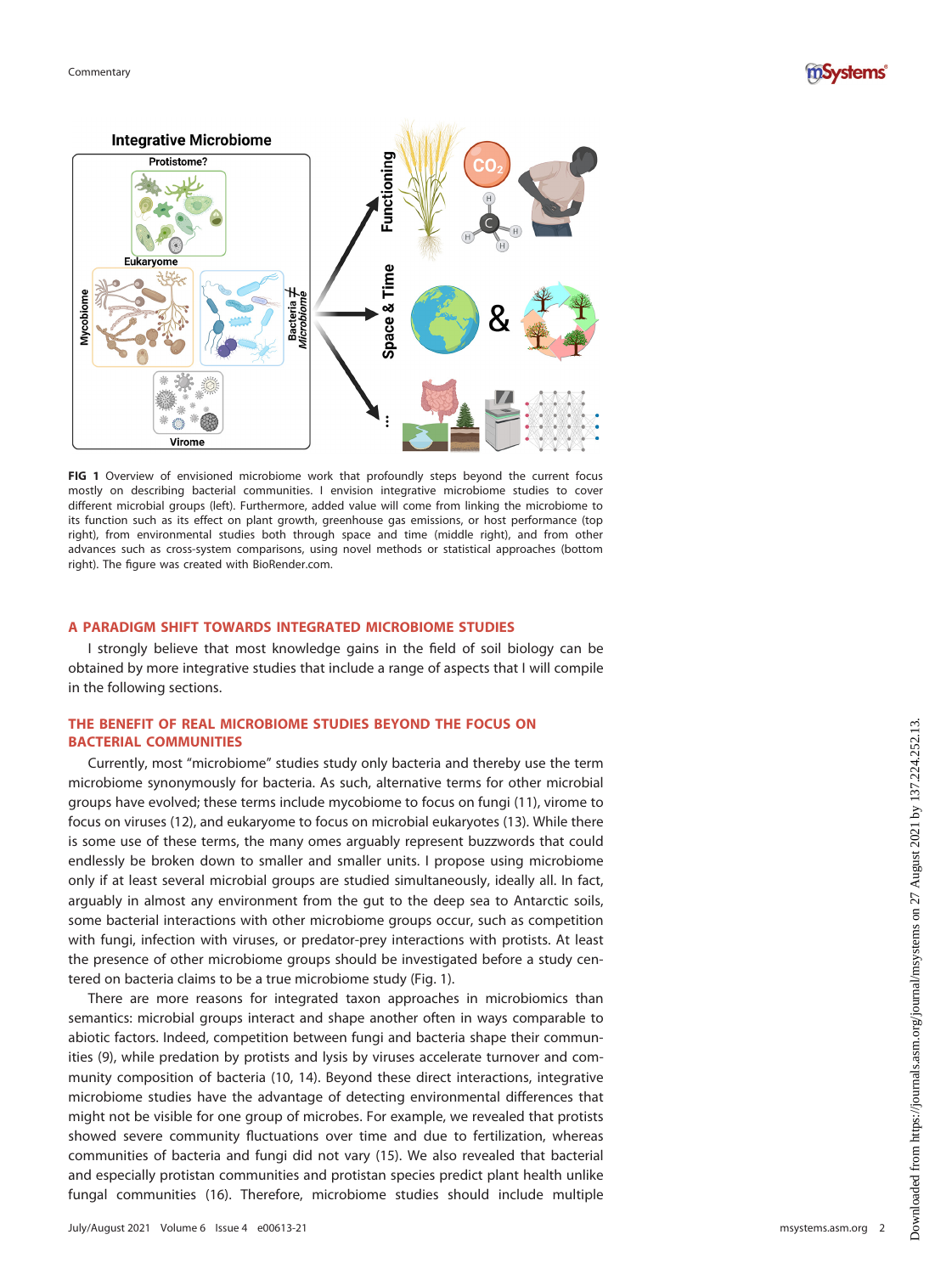



<span id="page-1-0"></span>FIG 1 Overview of envisioned microbiome work that profoundly steps beyond the current focus mostly on describing bacterial communities. I envision integrative microbiome studies to cover different microbial groups (left). Furthermore, added value will come from linking the microbiome to its function such as its effect on plant growth, greenhouse gas emissions, or host performance (top right), from environmental studies both through space and time (middle right), and from other advances such as cross-system comparisons, using novel methods or statistical approaches (bottom right). The figure was created with BioRender.com.

## A PARADIGM SHIFT TOWARDS INTEGRATED MICROBIOME STUDIES

I strongly believe that most knowledge gains in the field of soil biology can be obtained by more integrative studies that include a range of aspects that I will compile in the following sections.

# THE BENEFIT OF REAL MICROBIOME STUDIES BEYOND THE FOCUS ON BACTERIAL COMMUNITIES

Currently, most "microbiome" studies study only bacteria and thereby use the term microbiome synonymously for bacteria. As such, alternative terms for other microbial groups have evolved; these terms include mycobiome to focus on fungi ([11\)](#page-4-5), virome to focus on viruses [\(12](#page-4-6)), and eukaryome to focus on microbial eukaryotes ([13\)](#page-4-7). While there is some use of these terms, the many omes arguably represent buzzwords that could endlessly be broken down to smaller and smaller units. I propose using microbiome only if at least several microbial groups are studied simultaneously, ideally all. In fact, arguably in almost any environment from the gut to the deep sea to Antarctic soils, some bacterial interactions with other microbiome groups occur, such as competition with fungi, infection with viruses, or predator-prey interactions with protists. At least the presence of other microbiome groups should be investigated before a study centered on bacteria claims to be a true microbiome study ([Fig. 1](#page-1-0)).

There are more reasons for integrated taxon approaches in microbiomics than semantics: microbial groups interact and shape another often in ways comparable to abiotic factors. Indeed, competition between fungi and bacteria shape their communities ([9](#page-4-3)), while predation by protists and lysis by viruses accelerate turnover and community composition of bacteria [\(10](#page-4-4), [14\)](#page-4-8). Beyond these direct interactions, integrative microbiome studies have the advantage of detecting environmental differences that might not be visible for one group of microbes. For example, we revealed that protists showed severe community fluctuations over time and due to fertilization, whereas communities of bacteria and fungi did not vary [\(15\)](#page-4-9). We also revealed that bacterial and especially protistan communities and protistan species predict plant health unlike fungal communities ([16](#page-4-10)). Therefore, microbiome studies should include multiple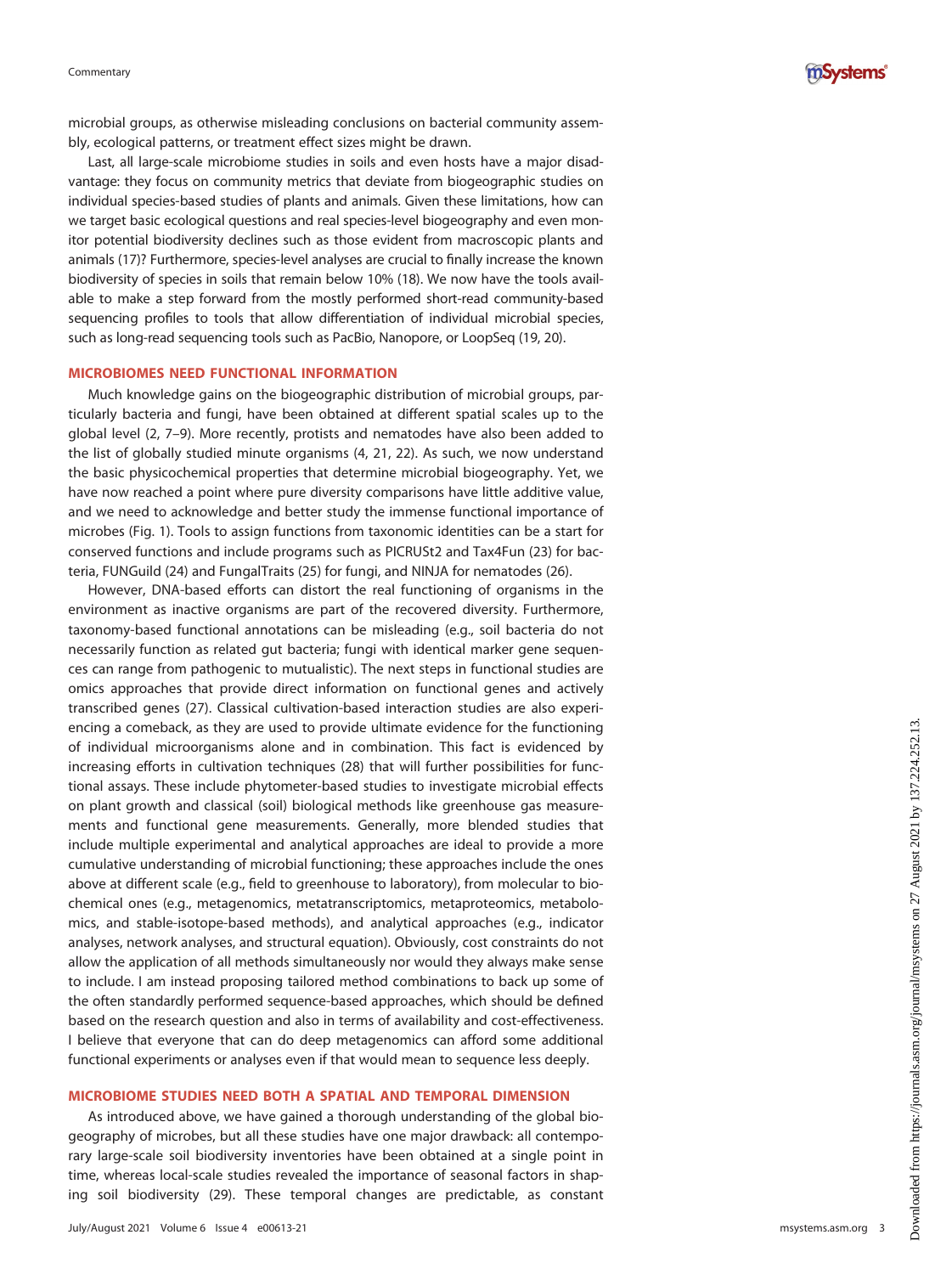

microbial groups, as otherwise misleading conclusions on bacterial community assembly, ecological patterns, or treatment effect sizes might be drawn.

Last, all large-scale microbiome studies in soils and even hosts have a major disadvantage: they focus on community metrics that deviate from biogeographic studies on individual species-based studies of plants and animals. Given these limitations, how can we target basic ecological questions and real species-level biogeography and even monitor potential biodiversity declines such as those evident from macroscopic plants and animals [\(17](#page-4-11))? Furthermore, species-level analyses are crucial to finally increase the known biodiversity of species in soils that remain below 10% ([18\)](#page-4-12). We now have the tools available to make a step forward from the mostly performed short-read community-based sequencing profiles to tools that allow differentiation of individual microbial species, such as long-read sequencing tools such as PacBio, Nanopore, or LoopSeq [\(19](#page-4-13), [20](#page-4-14)).

#### MICROBIOMES NEED FUNCTIONAL INFORMATION

Much knowledge gains on the biogeographic distribution of microbial groups, particularly bacteria and fungi, have been obtained at different spatial scales up to the global level ([2](#page-3-1), [7](#page-4-1)[–](#page-4-2)[9](#page-4-3)). More recently, protists and nematodes have also been added to the list of globally studied minute organisms ([4,](#page-3-3) [21,](#page-4-15) [22\)](#page-4-16). As such, we now understand the basic physicochemical properties that determine microbial biogeography. Yet, we have now reached a point where pure diversity comparisons have little additive value, and we need to acknowledge and better study the immense functional importance of microbes ([Fig. 1](#page-1-0)). Tools to assign functions from taxonomic identities can be a start for conserved functions and include programs such as PICRUSt2 and Tax4Fun ([23\)](#page-4-17) for bacteria, FUNGuild ([24](#page-4-18)) and FungalTraits ([25\)](#page-4-19) for fungi, and NINJA for nematodes [\(26](#page-4-20)).

However, DNA-based efforts can distort the real functioning of organisms in the environment as inactive organisms are part of the recovered diversity. Furthermore, taxonomy-based functional annotations can be misleading (e.g., soil bacteria do not necessarily function as related gut bacteria; fungi with identical marker gene sequences can range from pathogenic to mutualistic). The next steps in functional studies are omics approaches that provide direct information on functional genes and actively transcribed genes ([27\)](#page-4-21). Classical cultivation-based interaction studies are also experiencing a comeback, as they are used to provide ultimate evidence for the functioning of individual microorganisms alone and in combination. This fact is evidenced by increasing efforts in cultivation techniques [\(28](#page-4-22)) that will further possibilities for functional assays. These include phytometer-based studies to investigate microbial effects on plant growth and classical (soil) biological methods like greenhouse gas measurements and functional gene measurements. Generally, more blended studies that include multiple experimental and analytical approaches are ideal to provide a more cumulative understanding of microbial functioning; these approaches include the ones above at different scale (e.g., field to greenhouse to laboratory), from molecular to biochemical ones (e.g., metagenomics, metatranscriptomics, metaproteomics, metabolomics, and stable-isotope-based methods), and analytical approaches (e.g., indicator analyses, network analyses, and structural equation). Obviously, cost constraints do not allow the application of all methods simultaneously nor would they always make sense to include. I am instead proposing tailored method combinations to back up some of the often standardly performed sequence-based approaches, which should be defined based on the research question and also in terms of availability and cost-effectiveness. I believe that everyone that can do deep metagenomics can afford some additional functional experiments or analyses even if that would mean to sequence less deeply.

#### MICROBIOME STUDIES NEED BOTH A SPATIAL AND TEMPORAL DIMENSION

As introduced above, we have gained a thorough understanding of the global biogeography of microbes, but all these studies have one major drawback: all contemporary large-scale soil biodiversity inventories have been obtained at a single point in time, whereas local-scale studies revealed the importance of seasonal factors in shaping soil biodiversity [\(29](#page-4-23)). These temporal changes are predictable, as constant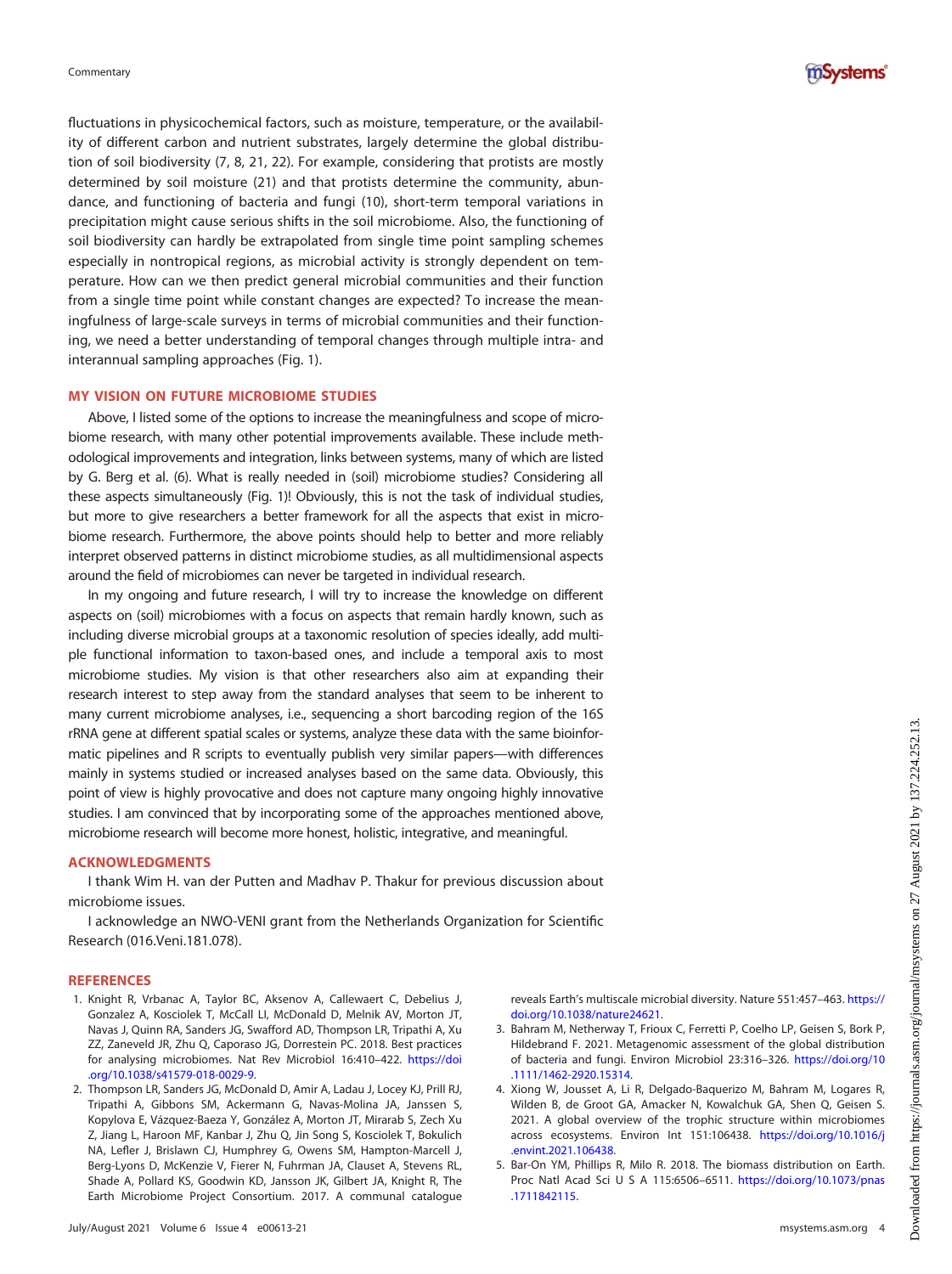

fluctuations in physicochemical factors, such as moisture, temperature, or the availability of different carbon and nutrient substrates, largely determine the global distribution of soil biodiversity ([7](#page-4-1), [8,](#page-4-2) [21](#page-4-15), [22](#page-4-16)). For example, considering that protists are mostly determined by soil moisture [\(21](#page-4-15)) and that protists determine the community, abundance, and functioning of bacteria and fungi ([10\)](#page-4-4), short-term temporal variations in precipitation might cause serious shifts in the soil microbiome. Also, the functioning of soil biodiversity can hardly be extrapolated from single time point sampling schemes especially in nontropical regions, as microbial activity is strongly dependent on temperature. How can we then predict general microbial communities and their function from a single time point while constant changes are expected? To increase the meaningfulness of large-scale surveys in terms of microbial communities and their functioning, we need a better understanding of temporal changes through multiple intra- and interannual sampling approaches [\(Fig. 1\)](#page-1-0).

## MY VISION ON FUTURE MICROBIOME STUDIES

Above, I listed some of the options to increase the meaningfulness and scope of microbiome research, with many other potential improvements available. These include methodological improvements and integration, links between systems, many of which are listed by G. Berg et al. [\(6\)](#page-4-0). What is really needed in (soil) microbiome studies? Considering all these aspects simultaneously [\(Fig. 1\)](#page-1-0)! Obviously, this is not the task of individual studies, but more to give researchers a better framework for all the aspects that exist in microbiome research. Furthermore, the above points should help to better and more reliably interpret observed patterns in distinct microbiome studies, as all multidimensional aspects around the field of microbiomes can never be targeted in individual research.

In my ongoing and future research, I will try to increase the knowledge on different aspects on (soil) microbiomes with a focus on aspects that remain hardly known, such as including diverse microbial groups at a taxonomic resolution of species ideally, add multiple functional information to taxon-based ones, and include a temporal axis to most microbiome studies. My vision is that other researchers also aim at expanding their research interest to step away from the standard analyses that seem to be inherent to many current microbiome analyses, i.e., sequencing a short barcoding region of the 16S rRNA gene at different spatial scales or systems, analyze these data with the same bioinformatic pipelines and R scripts to eventually publish very similar papers—with differences mainly in systems studied or increased analyses based on the same data. Obviously, this point of view is highly provocative and does not capture many ongoing highly innovative studies. I am convinced that by incorporating some of the approaches mentioned above, microbiome research will become more honest, holistic, integrative, and meaningful.

#### ACKNOWLEDGMENTS

I thank Wim H. van der Putten and Madhav P. Thakur for previous discussion about microbiome issues.

I acknowledge an NWO-VENI grant from the Netherlands Organization for Scientific Research (016.Veni.181.078).

#### **REFERENCES**

- <span id="page-3-0"></span>1. Knight R, Vrbanac A, Taylor BC, Aksenov A, Callewaert C, Debelius J, Gonzalez A, Kosciolek T, McCall LI, McDonald D, Melnik AV, Morton JT, Navas J, Quinn RA, Sanders JG, Swafford AD, Thompson LR, Tripathi A, Xu ZZ, Zaneveld JR, Zhu Q, Caporaso JG, Dorrestein PC. 2018. Best practices for analysing microbiomes. Nat Rev Microbiol 16:410–422. [https://doi](https://doi.org/10.1038/s41579-018-0029-9) [.org/10.1038/s41579-018-0029-9](https://doi.org/10.1038/s41579-018-0029-9).
- <span id="page-3-1"></span>2. Thompson LR, Sanders JG, McDonald D, Amir A, Ladau J, Locey KJ, Prill RJ, Tripathi A, Gibbons SM, Ackermann G, Navas-Molina JA, Janssen S, Kopylova E, Vázquez-Baeza Y, González A, Morton JT, Mirarab S, Zech Xu Z, Jiang L, Haroon MF, Kanbar J, Zhu Q, Jin Song S, Kosciolek T, Bokulich NA, Lefler J, Brislawn CJ, Humphrey G, Owens SM, Hampton-Marcell J, Berg-Lyons D, McKenzie V, Fierer N, Fuhrman JA, Clauset A, Stevens RL, Shade A, Pollard KS, Goodwin KD, Jansson JK, Gilbert JA, Knight R, The Earth Microbiome Project Consortium. 2017. A communal catalogue

reveals Earth's multiscale microbial diversity. Nature 551:457–463. [https://](https://doi.org/10.1038/nature24621) [doi.org/10.1038/nature24621](https://doi.org/10.1038/nature24621).

- <span id="page-3-2"></span>3. Bahram M, Netherway T, Frioux C, Ferretti P, Coelho LP, Geisen S, Bork P, Hildebrand F. 2021. Metagenomic assessment of the global distribution of bacteria and fungi. Environ Microbiol 23:316–326. [https://doi.org/10](https://doi.org/10.1111/1462-2920.15314) [.1111/1462-2920.15314](https://doi.org/10.1111/1462-2920.15314).
- <span id="page-3-3"></span>4. Xiong W, Jousset A, Li R, Delgado-Baquerizo M, Bahram M, Logares R, Wilden B, de Groot GA, Amacker N, Kowalchuk GA, Shen Q, Geisen S. 2021. A global overview of the trophic structure within microbiomes across ecosystems. Environ Int 151:106438. [https://doi.org/10.1016/j](https://doi.org/10.1016/j.envint.2021.106438) [.envint.2021.106438](https://doi.org/10.1016/j.envint.2021.106438).
- <span id="page-3-4"></span>5. Bar-On YM, Phillips R, Milo R. 2018. The biomass distribution on Earth. Proc Natl Acad Sci U S A 115:6506–6511. [https://doi.org/10.1073/pnas](https://doi.org/10.1073/pnas.1711842115) [.1711842115](https://doi.org/10.1073/pnas.1711842115).